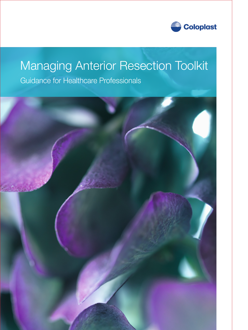

# Managing Anterior Resection Toolkit

Guidance for Healthcare Professionals

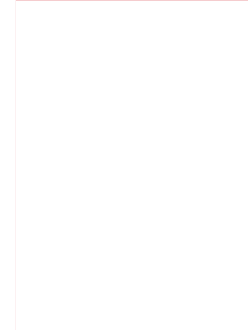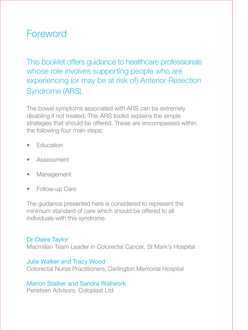### Foreword

This booklet offers guidance to healthcare professionals whose role involves supporting people who are experiencing (or may be at risk of) Anterior Resection Syndrome (ARS).

The bowel symptoms associated with ARS can be extremely disabling if not treated. This ARS toolkit explains the simple strategies that should be offered. These are encompassed within the following four main steps:

- **Fducation**
- Assessment
- Management
- Follow-up Care

The guidance presented here is considered to represent the minimum standard of care which should be offered to all individuals with this syndrome.

### Dr Claire Taylor

Macmillan Team Leader in Colorectal Cancer, St Mark's Hospital

### Julie Walker and Tracy Wood

Colorectal Nurse Practitioners, Darlington Memorial Hospital

### Marion Stalker and Sandra Wallwork

Peristeen Advisors, Coloplast Ltd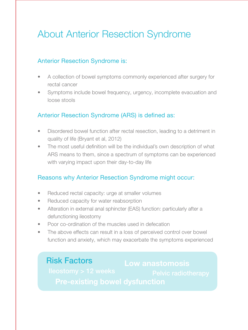## About Anterior Resection Syndrome

### Anterior Resection Syndrome is:

- A collection of bowel symptoms commonly experienced after surgery for rectal cancer
- Symptoms include bowel frequency, urgency, incomplete evacuation and loose stools

### Anterior Resection Syndrome (ARS) is defined as:

- Disordered bowel function after rectal resection, leading to a detriment in quality of life (Bryant et al, 2012)
- The most useful definition will be the individual's own description of what ARS means to them, since a spectrum of symptoms can be experienced with varying impact upon their day-to-day life

### Reasons why Anterior Resection Syndrome might occur:

- Reduced rectal capacity: urge at smaller volumes
- Reduced capacity for water reabsorption
- Alteration in external anal sphincter (EAS) function: particularly after a defunctioning ileostomy
- Poor co-ordination of the muscles used in defecation
- The above effects can result in a loss of perceived control over bowel function and anxiety, which may exacerbate the symptoms experienced

### Risk Factors

Low anastomosis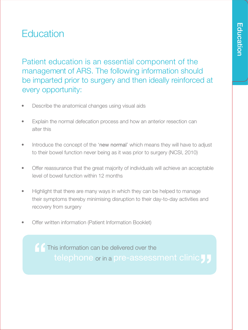## **Education**

Patient education is an essential component of the management of ARS. The following information should be imparted prior to surgery and then ideally reinforced at every opportunity:

- Describe the anatomical changes using visual aids
- Explain the normal defecation process and how an anterior resection can alter this
- Introduce the concept of the 'new normal' which means they will have to adjust to their bowel function never being as it was prior to surgery (NCSI, 2010)
- Offer reassurance that the great majority of individuals will achieve an acceptable level of bowel function within 12 months
- Highlight that there are many ways in which they can be helped to manage their symptoms thereby minimising disruption to their day-to-day activities and recovery from surgery
- Offer written information (Patient Information Booklet)

This information can be delivered over the telephone or in a pre-assessment clinic, "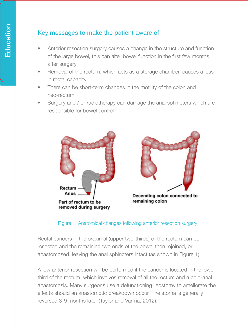### Key messages to make the patient aware of:

- Anterior resection surgery causes a change in the structure and function of the large bowel, this can alter bowel function in the first few months after surgery
- Removal of the rectum, which acts as a storage chamber, causes a loss in rectal capacity
- There can be short-term changes in the motility of the colon and neo-rectum
- Surgery and / or radiotherapy can damage the anal sphincters which are responsible for bowel control



Figure 1: Anatomical changes following anterior resection surgery

Rectal cancers in the proximal (upper two-thirds) of the rectum can be resected and the remaining two ends of the bowel then rejoined, or anastomosed, leaving the anal sphincters intact (as shown in Figure 1).

A low anterior resection will be performed if the cancer is located in the lower third of the rectum, which involves removal of all the rectum and a colo-anal anastomosis. Many surgeons use a defunctioning ileostomy to ameliorate the effects should an anastomotic breakdown occur. The stoma is generally reversed 3-9 months later (Taylor and Varma, 2012).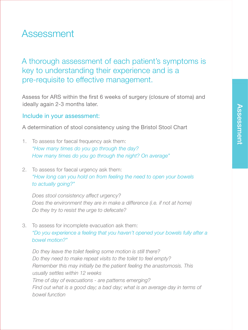## Assessment

### A thorough assessment of each patient's symptoms is key to understanding their experience and is a pre-requisite to effective management.

Assess for ARS within the first 6 weeks of surgery (closure of stoma) and ideally again 2-3 months later.

#### Include in your assessment:

A determination of stool consistency using the Bristol Stool Chart

- 1. To assess for faecal frequency ask them: "How many times do you go through the day? How many times do you go through the night? On average"
- 2. To assess for faecal urgency ask them: "How long can you hold on from feeling the need to open your bowels to actually going?"

Does stool consistency affect urgency? Does the environment they are in make a difference (i.e. if not at home) Do they try to resist the urge to defecate?

3. To assess for incomplete evacuation ask them: "Do you experience a feeling that you haven't opened your bowels fully after a bowel motion?"

Do they leave the toilet feeling some motion is still there? Do they need to make repeat visits to the toilet to feel empty? Remember this may initially be the patient feeling the anastomosis. This usually settles within 12 weeks Time of day of evacuations - are patterns emerging? Find out what is a good day; a bad day; what is an average day in terms of bowel function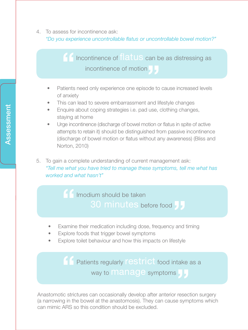4. To assess for incontinence ask:

"Do you experience uncontrollable flatus or uncontrollable bowel motion?"

Incontinence of flatus can be as distressing as<br>incontinence of motion incontinence of motion

- Patients need only experience one episode to cause increased levels of anxiety
- This can lead to severe embarrassment and lifestyle changes
- Enquire about coping strategies i.e. pad use, clothing changes, staying at home
- Urge incontinence (discharge of bowel motion or flatus in spite of active attempts to retain it) should be distinguished from passive incontinence (discharge of bowel motion or flatus without any awareness) (Bliss and Norton, 2010)
- 5. To gain a complete understanding of current management ask: "Tell me what you have tried to manage these symptoms, tell me what has worked and what hasn't"

### Imodium should be taken 30 minutes before food J "

- Examine their medication including dose, frequency and timing
- Explore foods that trigger bowel symptoms
- Explore toilet behaviour and how this impacts on lifestyle

way to **Manage** symptoms<br>
way to **Manage** symptoms<br>
way to **Manage** symptoms<br>
way to **Manage** symptoms<br> **P The Patients regularly restrict food intake as a** 

Anastomotic strictures can occasionally develop after anterior resection surgery (a narrowing in the bowel at the anastomosis). They can cause symptoms which can mimic ARS so this condition should be excluded.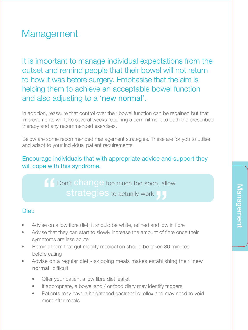## **Management**

It is important to manage individual expectations from the outset and remind people that their bowel will not return to how it was before surgery. Emphasise that the aim is helping them to achieve an acceptable bowel function and also adjusting to a 'new normal'.

In addition, reassure that control over their bowel function can be regained but that improvements will take several weeks requiring a commitment to both the prescribed therapy and any recommended exercises.

Below are some recommended management strategies. These are for you to utilise and adapt to your individual patient requirements.

#### Encourage individuals that with appropriate advice and support they will cope with this syndrome.

For Don't change too much too soon, allow<br>
strategies to actually work strategies to actually work

#### Diet:

- Advise on a low fibre diet, it should be white, refined and low in fibre
- Advise that they can start to slowly increase the amount of fibre once their symptoms are less acute
- Remind them that gut motility medication should be taken 30 minutes before eating
- Advise on a regular diet skipping meals makes establishing their 'new normal' difficult
	- Offer your patient a low fibre diet leaflet
	- If appropriate, a bowel and / or food diary may identify triggers
	- Patients may have a heightened gastrocolic reflex and may need to void more after meals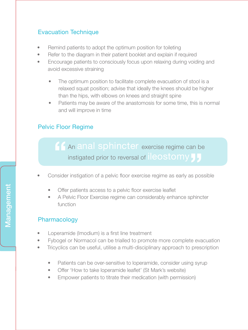### Evacuation Technique

- Remind patients to adopt the optimum position for toileting
- Refer to the diagram in their patient booklet and explain if required
- Encourage patients to consciously focus upon relaxing during voiding and avoid excessive straining
	- The optimum position to facilitate complete evacuation of stool is a relaxed squat position; advise that ideally the knees should be higher than the hips, with elbows on knees and straight spine
	- Patients may be aware of the anastomosis for some time, this is normal and will improve in time

### Pelvic Floor Regime

 $\alpha$  An anal sphincter exercise regime can be instigated prior to reversal of  $\textsf{leostomy}$ ,

- Consider instigation of a pelvic floor exercise regime as early as possible
	- Offer patients access to a pelvic floor exercise leaflet
	- A Pelvic Floor Exercise regime can considerably enhance sphincter function

#### Pharmacology

- Loperamide (Imodium) is a first line treatment
- Fybogel or Normacol can be trialled to promote more complete evacuation
- Tricyclics can be useful, utilise a multi-disciplinary approach to prescription
	- Patients can be over-sensitive to loperamide, consider using syrup
	- Offer 'How to take loperamide leaflet' (St Mark's website)
	- Empower patients to titrate their medication (with permission)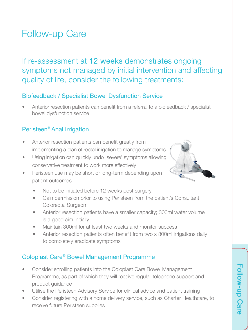## Follow-up Care

If re-assessment at 12 weeks demonstrates ongoing symptoms not managed by initial intervention and affecting quality of life, consider the following treatments:

### Biofeedback / Specialist Bowel Dysfunction Service

• Anterior resection patients can benefit from a referral to a biofeedback / specialist bowel dysfunction service

### Peristeen® Anal Irrigation

- Anterior resection patients can benefit greatly from implementing a plan of rectal irrigation to manage symptoms
- Using irrigation can quickly undo 'severe' symptoms allowing conservative treatment to work more effectively
- Peristeen use may be short or long-term depending upon patient outcomes
	- Not to be initiated before 12 weeks post surgery
	- Gain permission prior to using Peristeen from the patient's Consultant Colorectal Surgeon
	- Anterior resection patients have a smaller capacity: 300ml water volume is a good aim initially
	- Maintain 300ml for at least two weeks and monitor success
	- Anterior resection patients often benefit from two x 300ml irrigations daily to completely eradicate symptoms

### Coloplast Care® Bowel Management Programme

- Consider enrolling patients into the Coloplast Care Bowel Management Programme, as part of which they will receive regular telephone support and product guidance
- Utilise the Peristeen Advisory Service for clinical advice and patient training
- Consider registering with a home delivery service, such as Charter Healthcare, to receive future Peristeen supplies

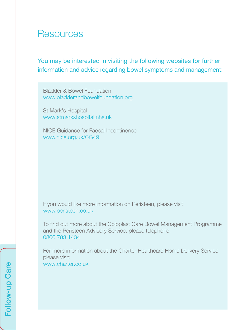### **Resources**

### You may be interested in visiting the following websites for further information and advice regarding bowel symptoms and management:

Bladder & Bowel Foundation www.bladderandbowelfoundation.org

St Mark's Hospital [www.stmarkshospital.](http://www.stmarkshospital.nhs.uk/)nhs.uk

NICE Guidance for Faecal Incontinence www.nice.org.uk/CG49

If you would like more information on Peristeen, please visit: www.peristeen.co.uk

To find out more about the Coloplast Care Bowel Management Programme and the Peristeen Advisory Service, please telephone: 0800 783 1434

For more information about the Charter Healthcare Home Delivery Service, please visit: www.charter.co.uk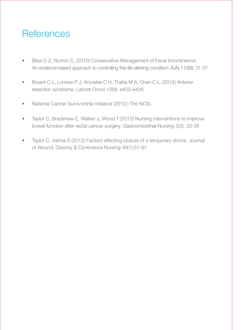## **References**

- Bliss D Z, Norton C, (2010) Conservative Management of Fecal Incontinence: An evidence-based approach to controlling this life-altering condition. AJN 110(9): 31-37
- Bryant C L, Lunniss P J, Knowles C H, Thaha M A, Chan C L. (2012) Anterior resection syndrome. Lancet Oncol 13(9): e403-e408
- National Cancer Survivorship Initiative (2010 ) The NCSI.
- Taylor C, Bradshaw E, Walker J, Wood T (2013) Nursing interventions to improve bowel function after rectal cancer surgery. Gastrointestinal Nursing 5(3): 33-38
- Taylor C, Varma S (2012) Factors affecting closure of a temporary stoma. Journal of Wound, Ostomy & Continence Nursing 39(1):51-61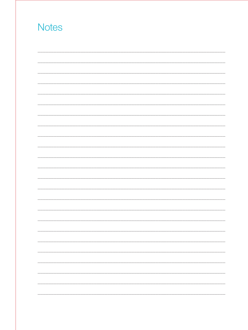| П |  |
|---|--|
|   |  |